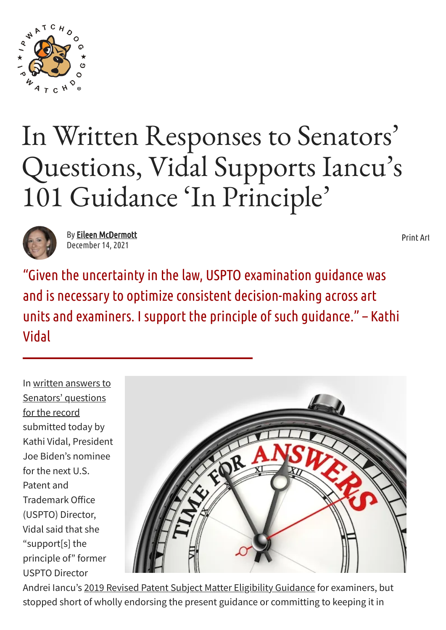

## In Written Responses to Senators ' Questions, Vidal Supports Iancu ' s 101 Guidance 'In Principle '



By Eileen [McDermott](https://www.ipwatchdog.com/author/emcdermott/) December 14, 2021

[Print](javascript:window.print();) Art

"Given the uncertaintyin the law, USPTO examination guidance was and is necessary to optimize consistent decision-making across art units and examiners. I support the principle of such guidance."– Kathi Vidal

In written answers to [Senators'](http://www.ipwatchdog.com/wp-content/uploads/2021/12/Vidal-Answers-to-QFRs-FINAL.pdf) questions for the record submitted today by Kathi Vidal, President Joe Biden's nominee for the next U.S. Patent and Trademark Office (USPTO) Director, Vidal said that she "support[s] the principle of" former USPTO Director



Andrei Iancu's 2019 Revised [Patent Subject Matter](https://www.federalregister.gov/documents/2019/01/07/2018-28282/2019-revised-patent-subject-matter-eligibility-guidance) Eligibility Guidance for examiners, but stopped short of wholly endorsing the present guidance or committing to keeping it in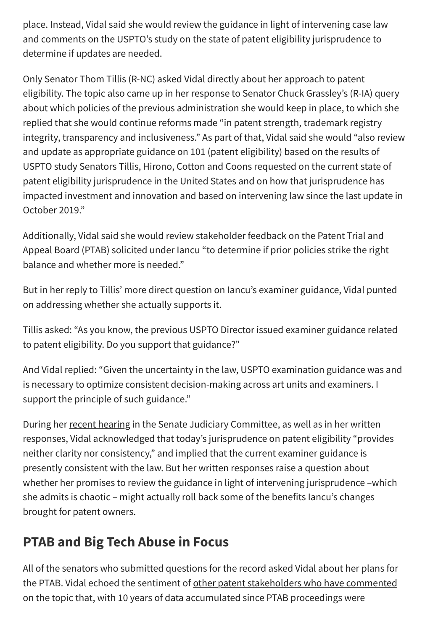place. Instead, Vidal said she would review the guidance in light of intervening case law and comments on the USPTO's study on the state of patent eligibility jurisprudence to determine if updates are needed.

Only Senator Thom Tillis (R-NC) asked Vidal directly about her approach to patent eligibility. The topic also came up in her response to Senator Chuck Grassley's (R-IA) query about which policies of the previous administration she would keep in place, to which she replied that she would continue reforms made "in patent strength, trademark registry integrity, transparency and inclusiveness." As part of that, Vidal said she would "also review and update as appropriate guidance on 101 (patent eligibility) based on the results of USPTO study Senators Tillis, Hirono, Cotton and Coons requested on the current state of patent eligibility jurisprudence in the United States and on how that jurisprudence has impacted investment and innovation and based on intervening law since the last update in October 2019."

Additionally, Vidal said she would review stakeholder feedback on the Patent Trial and Appeal Board (PTAB) solicited under Iancu "to determine if prior policies strike the right balance and whether more is needed."

But in her reply to Tillis' more direct question on Iancu's examiner guidance, Vidal punted on addressing whether she actually supports it.

Tillis asked: "As you know, the previous USPTO Director issued examiner guidance related to patent eligibility. Do you support that guidance?"

And Vidal replied: "Given the uncertainty in the law, USPTO examination guidance was and is necessary to optimize consistent decision-making across art units and examiners. I support the principle of such guidance."

During her [recent hearing](https://www.ipwatchdog.com/2021/12/01/vidal-agrees-eligibility-needs-clarity-senate-judiciary-committee-questioning-nominees/id=140702/) in the Senate Judiciary Committee, as well as in her written responses, Vidal acknowledged that today's jurisprudence on patent eligibility "provides neither clarity nor consistency," and implied that the current examiner guidance is presently consistent with the law. But her written responses raise a question about whether her promises to review the guidance in light of intervening jurisprudence –which she admits is chaotic – might actually roll back some of the benefits Iancu's changes brought for patent owners.

## **PTAB and Big Tech Abuse in Focus**

All of the senators who submitted questions for the record asked Vidal about her plans for the PTAB. Vidal echoed the sentiment of other [patent stakeholders](https://www.ipwatchdog.com/2021/09/16/celebrating-the-america-invents-act-ten-years-on-many-ip-stakeholders-say-time-for-second-look/id=137631/) who have commented on the topic that, with 10 years of data accumulated since PTAB proceedings were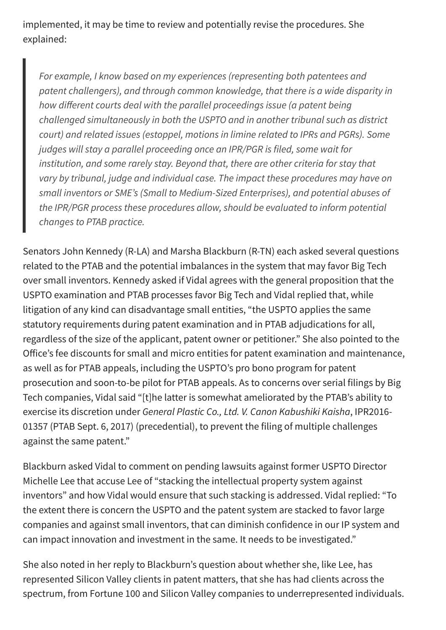implemented, it may be time to review and potentially revise the procedures. She explained:

*For example, I know based on my experiences (representing both patentees and patent challengers), and through common knowledge, that there is a wide disparity in how different courts deal with the parallel proceedings issue (a patent being challenged simultaneously in both the USPTO and in another tribunal such as district court) and related issues (estoppel, motions in limine related to IPRs and PGRs). Some judges will stay a parallel proceeding once an IPR/PGR is filed, some wait for institution, and some rarely stay. Beyond that, there are other criteria for stay that vary by tribunal, judge and individual case. The impact these procedures may have on small inventors or SME's (Small to Medium-Sized Enterprises), and potential abuses of the IPR/PGR process these procedures allow, should be evaluated to inform potential changes to PTAB practice.*

Senators John Kennedy (R-LA) and Marsha Blackburn (R-TN) each asked several questions related to the PTAB and the potential imbalances in the system that may favor Big Tech over small inventors. Kennedy asked if Vidal agrees with the general proposition that the USPTO examination and PTAB processes favor Big Tech and Vidal replied that, while litigation of any kind can disadvantage small entities, "the USPTO applies the same statutory requirements during patent examination and in PTAB adjudications for all, regardless of the size of the applicant, patent owner or petitioner." She also pointed to the Office's fee discounts for small and micro entities for patent examination and maintenance, as well as for PTAB appeals, including the USPTO's pro bono program for patent prosecution and soon-to-be pilot for PTAB appeals. As to concerns over serial filings by Big Tech companies, Vidal said "[t]he latter is somewhat ameliorated by the PTAB's ability to exercise its discretion under *General Plastic Co., Ltd. V. Canon Kabushiki Kaisha*, IPR2016- 01357 (PTAB Sept. 6, 2017) (precedential), to prevent the filing of multiple challenges against the same patent."

Blackburn asked Vidal to comment on pending lawsuits against former USPTO Director Michelle Lee that accuse Lee of "stacking the intellectual property system against inventors" and how Vidal would ensure that such stacking is addressed. Vidal replied: "To the extent there is concern the USPTO and the patent system are stacked to favor large companies and against small inventors, that can diminish confidence in our IP system and can impact innovation and investment in the same. It needs to be investigated."

She also noted in her reply to Blackburn's question about whether she, like Lee, has represented Silicon Valley clients in patent matters, that she has had clients across the spectrum, from Fortune 100 and Silicon Valley companies to underrepresented individuals.